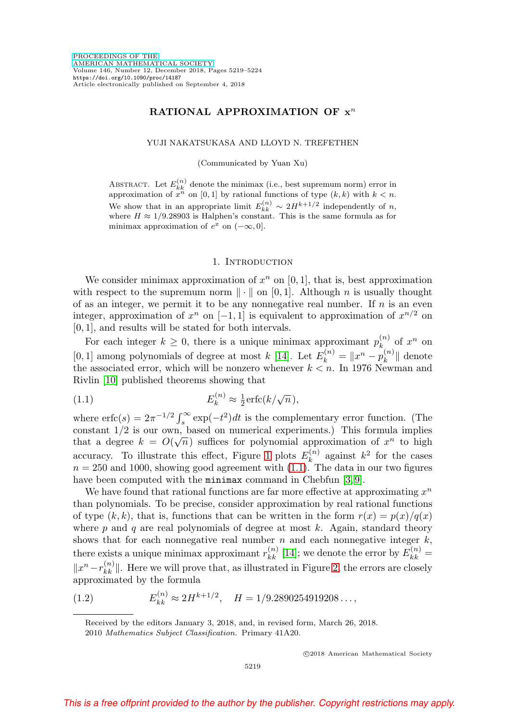# **RATIONAL APPROXIMATION OF x**<sup>n</sup>

YUJI NAKATSUKASA AND LLOYD N. TREFETHEN

(Communicated by Yuan Xu)

ABSTRACT. Let  $E_{kk}^{(n)}$  denote the minimax (i.e., best supremum norm) error in approximation of  $x^n$  on [0, 1] by rational functions of type  $(k, k)$  with  $k < n$ . We show that in an appropriate limit  $E_{kk}^{(n)} \sim 2H^{k+1/2}$  independently of n, where  $H \approx 1/9.28903$  is Halphen's constant. This is the same formula as for minimax approximation of  $e^x$  on  $(-\infty, 0]$ .

### 1. INTRODUCTION

We consider minimax approximation of  $x^n$  on [0, 1], that is, best approximation with respect to the supremum norm  $\|\cdot\|$  on [0,1]. Although n is usually thought of as an integer, we permit it to be any nonnegative real number. If  $n$  is an even integer, approximation of  $x^n$  on [−1, 1] is equivalent to approximation of  $x^{n/2}$  on [0, 1], and results will be stated for both intervals.

For each integer  $k \geq 0$ , there is a unique minimax approximant  $p_k^{(n)}$  of  $x^n$  on [0, 1] among polynomials of degree at most  $k$  [\[14\]](#page-5-0). Let  $E_k^{(n)} = ||x^n - p_k^{(n)}||$  denote the associated error, which will be nonzero whenever  $k < n$ . In 1976 Newman and Rivlin [\[10\]](#page-5-1) published theorems showing that

<span id="page-0-0"></span>(1.1) 
$$
E_k^{(n)} \approx \frac{1}{2} \mathrm{erfc}(k/\sqrt{n}),
$$

where  $\text{erfc}(s) = 2\pi^{-1/2} \int_s^{\infty} \exp(-t^2) dt$  is the complementary error function. (The constant  $1/2$  is our own, based on numerical experiments.) This formula implies that a degree  $k = O(\sqrt{n})$  suffices for polynomial approximation of  $x^n$  to high accuracy. To illustrate this effect, Figure [1](#page-1-0) plots  $E_k^{(n)}$  against  $k^2$  for the cases  $n = 250$  and 1000, showing good agreement with  $(1.1)$ . The data in our two figures have been computed with the minimax command in Chebfun [\[3,](#page-4-0)9].

We have found that rational functions are far more effective at approximating  $x^n$ than polynomials. To be precise, consider approximation by real rational functions of type  $(k, k)$ , that is, functions that can be written in the form  $r(x) = p(x)/q(x)$ where  $p$  and  $q$  are real polynomials of degree at most  $k$ . Again, standard theory shows that for each nonnegative real number  $n$  and each nonnegative integer  $k$ , there exists a unique minimax approximant  $r_{kk}^{(n)}$  [\[14\]](#page-5-0); we denote the error by  $E_{kk}^{(n)}$  =  $||x^{n}-r_{kk}^{(n)}||$ . Here we will prove that, as illustrated in Figure [2,](#page-1-1) the errors are closely approximated by the formula

<span id="page-0-1"></span>(1.2) 
$$
E_{kk}^{(n)} \approx 2H^{k+1/2}, \quad H = 1/9.2890254919208...,
$$

Received by the editors January 3, 2018, and, in revised form, March 26, 2018. 2010 Mathematics Subject Classification. Primary 41A20.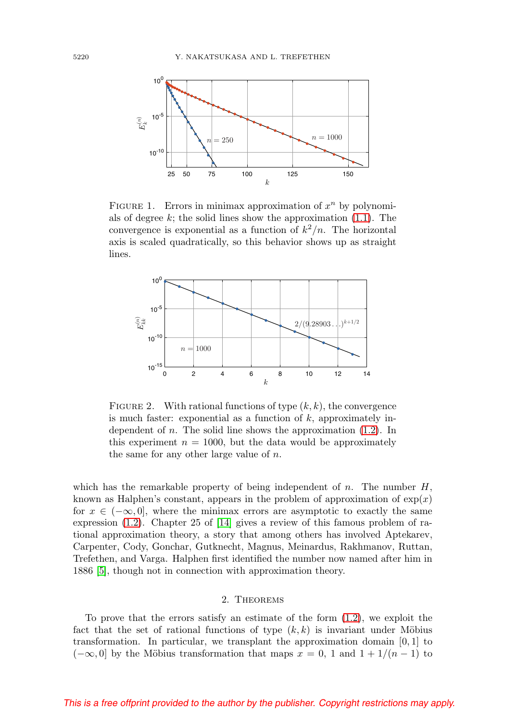

<span id="page-1-0"></span>FIGURE 1. Errors in minimax approximation of  $x^n$  by polynomials of degree  $k$ ; the solid lines show the approximation  $(1.1)$ . The convergence is exponential as a function of  $k^2/n$ . The horizontal axis is scaled quadratically, so this behavior shows up as straight lines.



<span id="page-1-1"></span>FIGURE 2. With rational functions of type  $(k, k)$ , the convergence is much faster: exponential as a function of  $k$ , approximately independent of *n*. The solid line shows the approximation  $(1.2)$ . In this experiment  $n = 1000$ , but the data would be approximately the same for any other large value of  $n$ .

which has the remarkable property of being independent of n. The number  $H$ , known as Halphen's constant, appears in the problem of approximation of  $exp(x)$ for  $x \in (-\infty, 0]$ , where the minimax errors are asymptotic to exactly the same expression [\(1.2\)](#page-0-1). Chapter 25 of [\[14\]](#page-5-0) gives a review of this famous problem of rational approximation theory, a story that among others has involved Aptekarev, Carpenter, Cody, Gonchar, Gutknecht, Magnus, Meinardus, Rakhmanov, Ruttan, Trefethen, and Varga. Halphen first identified the number now named after him in 1886 [\[5\]](#page-4-1), though not in connection with approximation theory.

### 2. Theorems

To prove that the errors satisfy an estimate of the form [\(1.2\)](#page-0-1), we exploit the fact that the set of rational functions of type  $(k, k)$  is invariant under Möbius transformation. In particular, we transplant the approximation domain  $[0, 1]$  to  $(-\infty, 0]$  by the Möbius transformation that maps  $x = 0$ , 1 and  $1 + 1/(n - 1)$  to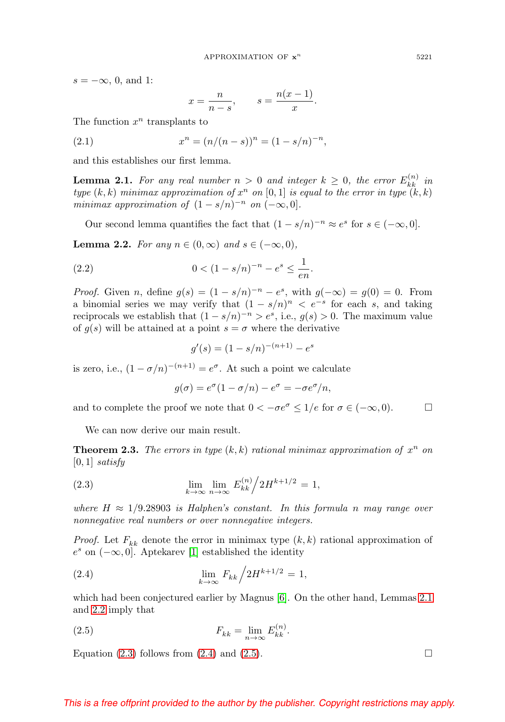$s = -\infty$ , 0, and 1:

$$
x = \frac{n}{n - s}, \qquad s = \frac{n(x - 1)}{x}.
$$

The function  $x^n$  transplants to

(2.1) 
$$
x^n = (n/(n-s))^n = (1-s/n)^{-n},
$$

and this establishes our first lemma.

<span id="page-2-0"></span>**Lemma 2.1.** For any real number  $n > 0$  and integer  $k \geq 0$ , the error  $E_{kk}^{(n)}$  in type  $(k, k)$  minimax approximation of  $x^n$  on  $[0, 1]$  is equal to the error in type  $(k, k)$ minimax approximation of  $(1 - s/n)^{-n}$  on  $(-\infty, 0]$ .

Our second lemma quantifies the fact that  $(1 - s/n)^{-n} \approx e^s$  for  $s \in (-\infty, 0]$ .

<span id="page-2-1"></span>**Lemma 2.2.** For any  $n \in (0, \infty)$  and  $s \in (-\infty, 0)$ ,

(2.2) 
$$
0 < (1 - s/n)^{-n} - e^s \le \frac{1}{en}.
$$

*Proof.* Given n, define  $g(s) = (1 - s/n)^{-n} - e^s$ , with  $g(-\infty) = g(0) = 0$ . From a binomial series we may verify that  $(1 - s/n)^n < e^{-s}$  for each s, and taking reciprocals we establish that  $(1 - s/n)^{-n} > e^s$ , i.e.,  $g(s) > 0$ . The maximum value of  $g(s)$  will be attained at a point  $s = \sigma$  where the derivative

$$
g'(s) = (1 - s/n)^{-(n+1)} - e^s
$$

is zero, i.e.,  $(1 - \sigma/n)^{-(n+1)} = e^{\sigma}$ . At such a point we calculate

$$
g(\sigma) = e^{\sigma}(1 - \sigma/n) - e^{\sigma} = -\sigma e^{\sigma}/n,
$$

and to complete the proof we note that  $0 < -\sigma e^{\sigma} \le 1/e$  for  $\sigma \in (-\infty, 0)$ .

We can now derive our main result.

<span id="page-2-5"></span>**Theorem 2.3.** The errors in type  $(k, k)$  rational minimax approximation of  $x^n$  on  $[0, 1]$  satisfy

<span id="page-2-2"></span>(2.3) 
$$
\lim_{k \to \infty} \lim_{n \to \infty} E_{kk}^{(n)} / 2H^{k+1/2} = 1,
$$

where  $H \approx 1/9.28903$  is Halphen's constant. In this formula n may range over nonnegative real numbers or over nonnegative integers.

*Proof.* Let  $F_{kk}$  denote the error in minimax type  $(k, k)$  rational approximation of  $e<sup>s</sup>$  on  $(-\infty, 0]$ . Aptekarev [\[1\]](#page-4-2) established the identity

<span id="page-2-3"></span>(2.4) 
$$
\lim_{k \to \infty} F_{kk} / 2H^{k+1/2} = 1,
$$

which had been conjectured earlier by Magnus [\[6\]](#page-4-3). On the other hand, Lemmas [2.1](#page-2-0) and [2.2](#page-2-1) imply that

<span id="page-2-4"></span>(2.5) 
$$
F_{kk} = \lim_{n \to \infty} E_{kk}^{(n)}.
$$

Equation [\(2.3\)](#page-2-2) follows from [\(2.4\)](#page-2-3) and [\(2.5\)](#page-2-4).  $\Box$ 

## This is a free offprint provided to the author by the publisher. Copyright restrictions may apply.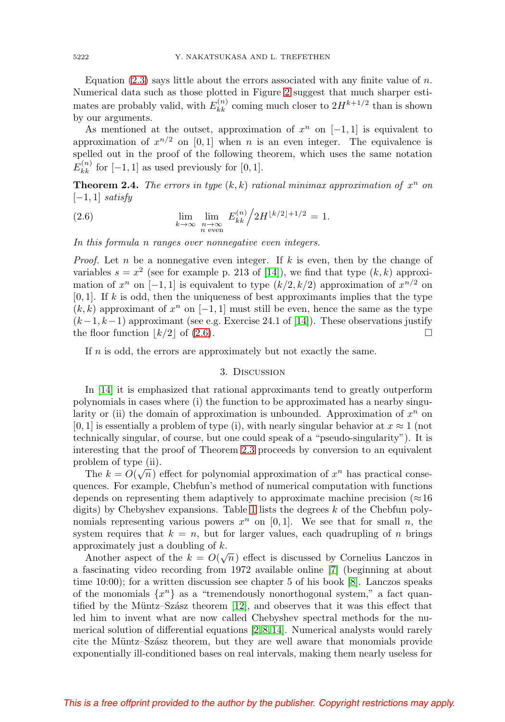Equation  $(2.3)$  says little about the errors associated with any finite value of n. Numerical data such as those plotted in Figure [2](#page-1-1) suggest that much sharper estimates are probably valid, with  $E_{kk}^{(n)}$  coming much closer to  $2H^{k+1/2}$  than is shown by our arguments.

As mentioned at the outset, approximation of  $x^n$  on [−1, 1] is equivalent to approximation of  $x^{n/2}$  on [0, 1] when n is an even integer. The equivalence is spelled out in the proof of the following theorem, which uses the same notation  $E_{kk}^{(n)}$  for  $[-1, 1]$  as used previously for  $[0, 1]$ .

**Theorem 2.4.** The errors in type  $(k, k)$  rational minimax approximation of  $x^n$  on  $[-1, 1]$  satisfy

<span id="page-3-0"></span>(2.6) 
$$
\lim_{k \to \infty} \lim_{\substack{n \to \infty \\ n \text{ even}}} E_{kk}^{(n)} / 2H^{\lfloor k/2 \rfloor + 1/2} = 1.
$$

In this formula n ranges over nonnegative even integers.

*Proof.* Let n be a nonnegative even integer. If k is even, then by the change of variables  $s = x^2$  (see for example p. 213 of [\[14\]](#page-5-0)), we find that type  $(k, k)$  approximation of  $x^n$  on [−1, 1] is equivalent to type  $(k/2, k/2)$  approximation of  $x^{n/2}$  on  $[0, 1]$ . If k is odd, then the uniqueness of best approximants implies that the type  $(k, k)$  approximant of  $x^n$  on  $[-1, 1]$  must still be even, hence the same as the type  $(k-1, k-1)$  approximant (see e.g. Exercise 24.1 of [\[14\]](#page-5-0)). These observations justify the floor function  $\lfloor k/2 \rfloor$  of [\(2.6\)](#page-3-0).

If n is odd, the errors are approximately but not exactly the same.

## 3. Discussion

In [\[14\]](#page-5-0) it is emphasized that rational approximants tend to greatly outperform polynomials in cases where (i) the function to be approximated has a nearby singularity or (ii) the domain of approximation is unbounded. Approximation of  $x^n$  on  $[0, 1]$  is essentially a problem of type (i), with nearly singular behavior at  $x \approx 1$  (not technically singular, of course, but one could speak of a "pseudo-singularity"). It is interesting that the proof of Theorem [2.3](#page-2-5) proceeds by conversion to an equivalent problem of type (ii).

The  $k = O(\sqrt{n})$  effect for polynomial approximation of  $x^n$  has practical consequences. For example, Chebfun's method of numerical computation with functions depends on representing them adaptively to approximate machine precision ( $\approx$ 16 digits) by Chebyshev expansions. Table [1](#page-4-4) lists the degrees k of the Chebfun polynomials representing various powers  $x^n$  on [0, 1]. We see that for small n, the system requires that  $k = n$ , but for larger values, each quadrupling of n brings approximately just a doubling of k.

Another aspect of the  $k = O(\sqrt{n})$  effect is discussed by Cornelius Lanczos in a fascinating video recording from 1972 available online [\[7\]](#page-5-3) (beginning at about time 10:00); for a written discussion see chapter 5 of his book [\[8\]](#page-5-4). Lanczos speaks of the monomials  $\{x^n\}$  as a "tremendously nonorthogonal system," a fact quantified by the Müntz–Szász theorem  $[12]$ , and observes that it was this effect that led him to invent what are now called Chebyshev spectral methods for the numerical solution of differential equations [\[2,](#page-4-5) [8,](#page-5-4) [14\]](#page-5-0). Numerical analysts would rarely cite the Müntz–Szász theorem, but they are well aware that monomials provide exponentially ill-conditioned bases on real intervals, making them nearly useless for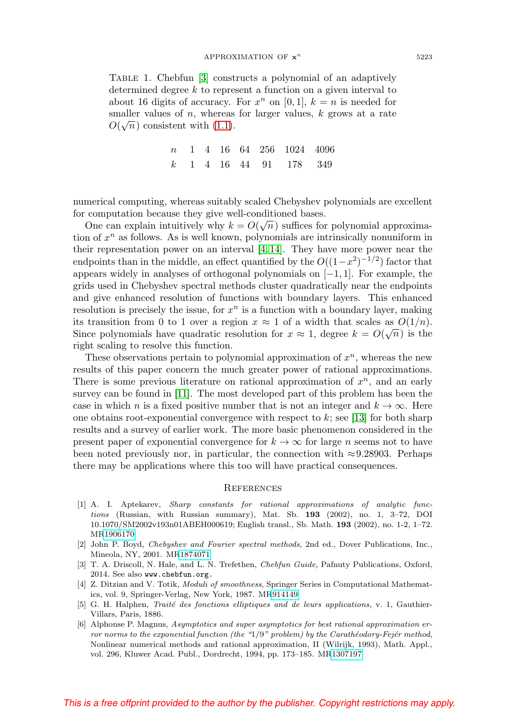<span id="page-4-4"></span>Table 1. Chebfun [\[3\]](#page-4-0) constructs a polynomial of an adaptively determined degree k to represent a function on a given interval to about 16 digits of accuracy. For  $x^n$  on [0, 1],  $k = n$  is needed for smaller values of  $n$ , whereas for larger values,  $k$  grows at a rate smaller values of *n*, whereas  $O(\sqrt{n})$  consistent with [\(1.1\)](#page-0-0).

> n 1 4 16 64 256 1024 4096 k 1 4 16 44 91 178 349

numerical computing, whereas suitably scaled Chebyshev polynomials are excellent for computation because they give well-conditioned bases.

Computation because they give wen-conditioned bases.<br>One can explain intuitively why  $k = O(\sqrt{n})$  suffices for polynomial approximation of  $x^n$  as follows. As is well known, polynomials are intrinsically nonuniform in their representation power on an interval  $[4, 14]$  $[4, 14]$ . They have more power near the endpoints than in the middle, an effect quantified by the  $O((1-x^2)^{-1/2})$  factor that appears widely in analyses of orthogonal polynomials on  $[-1, 1]$ . For example, the grids used in Chebyshev spectral methods cluster quadratically near the endpoints and give enhanced resolution of functions with boundary layers. This enhanced resolution is precisely the issue, for  $x^n$  is a function with a boundary layer, making its transition from 0 to 1 over a region  $x \approx 1$  of a width that scales as  $O(1/n)$ . Since polynomials have quadratic resolution for  $x \approx 1$ , degree  $k = O(\sqrt{n})$  is the right scaling to resolve this function.

These observations pertain to polynomial approximation of  $x^n$ , whereas the new results of this paper concern the much greater power of rational approximations. There is some previous literature on rational approximation of  $x^n$ , and an early survey can be found in [\[11\]](#page-5-6). The most developed part of this problem has been the case in which n is a fixed positive number that is not an integer and  $k \to \infty$ . Here one obtains root-exponential convergence with respect to  $k$ ; see [\[13\]](#page-5-7) for both sharp results and a survey of earlier work. The more basic phenomenon considered in the present paper of exponential convergence for  $k \to \infty$  for large n seems not to have been noted previously nor, in particular, the connection with  $\approx 9.28903$ . Perhaps there may be applications where this too will have practical consequences.

#### **REFERENCES**

- <span id="page-4-2"></span>[1] A. I. Aptekarev, Sharp constants for rational approximations of analytic functions (Russian, with Russian summary), Mat. Sb. **193** (2002), no. 1, 3–72, DOI 10.1070/SM2002v193n01ABEH000619; English transl., Sb. Math. **193** (2002), no. 1-2, 1–72. M[R1906170](https://www.ams.org/mathscinet-getitem?mr=1906170)
- <span id="page-4-5"></span>[2] John P. Boyd, Chebyshev and Fourier spectral methods, 2nd ed., Dover Publications, Inc., Mineola, NY, 2001. M[R1874071](https://www.ams.org/mathscinet-getitem?mr=1874071)
- <span id="page-4-0"></span>[3] T. A. Driscoll, N. Hale, and L. N. Trefethen, Chebfun Guide, Pafnuty Publications, Oxford, 2014. See also www.chebfun.org.
- <span id="page-4-6"></span>[4] Z. Ditzian and V. Totik, *Moduli of smoothness*, Springer Series in Computational Mathematics, vol. 9, Springer-Verlag, New York, 1987. M[R914149](https://www.ams.org/mathscinet-getitem?mr=914149)
- <span id="page-4-1"></span>[5] G. H. Halphen, Traité des fonctions elliptiques and de leurs applications, v. 1, Gauthier-Villars, Paris, 1886.
- <span id="page-4-3"></span>[6] Alphonse P. Magnus, Asymptotics and super asymptotics for best rational approximation error norms to the exponential function (the " $1/9$ " problem) by the Carathéodory-Fejér method, Nonlinear numerical methods and rational approximation, II (Wilrijk, 1993), Math. Appl., vol. 296, Kluwer Acad. Publ., Dordrecht, 1994, pp. 173–185. M[R1307197](https://www.ams.org/mathscinet-getitem?mr=1307197)